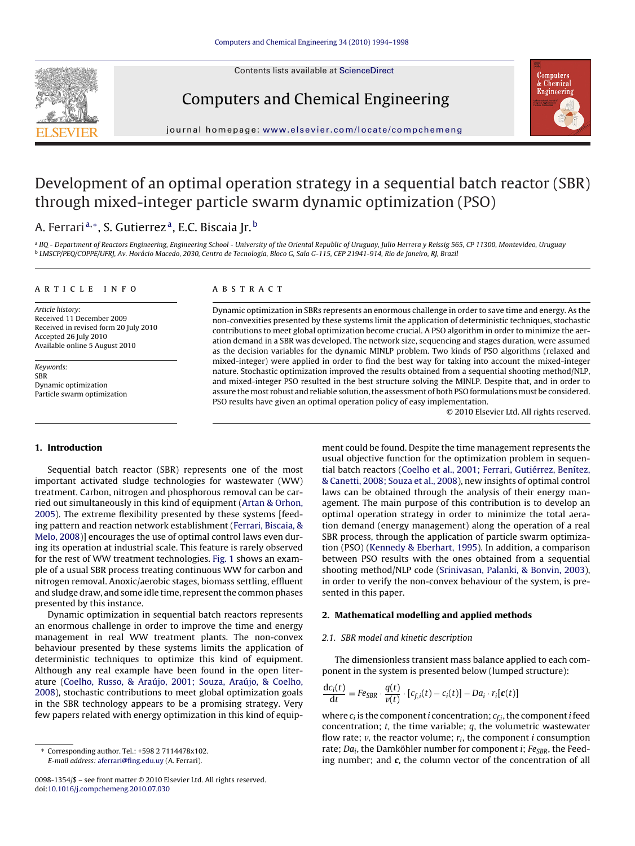Contents lists available at [ScienceDirect](http://www.sciencedirect.com/science/journal/00981354)







journal homepage: [www.elsevier.com/locate/compchemeng](http://www.elsevier.com/locate/compchemeng)

## Development of an optimal operation strategy in a sequential batch reactor (SBR) through mixed-integer particle swarm dynamic optimization (PSO)

### A. Ferrari<sup>a,∗</sup>, S. Gutierrez<sup>a</sup>, E.C. Biscaia Ir.<sup>b</sup>

a IIQ - Department of Reactors Engineering, Engineering School - University of the Oriental Republic of Uruguay, Julio Herrera y Reissig 565, CP 11300, Montevideo, Uruguay <sup>b</sup> LMSCP/PEQ/COPPE/UFRJ, Av. Horácio Macedo, 2030, Centro de Tecnologia, Bloco G, Sala G-115, CEP 21941-914, Rio de Janeiro, RJ, Brazil

#### article info

Article history: Received 11 December 2009 Received in revised form 20 July 2010 Accepted 26 July 2010 Available online 5 August 2010

Keywords: **SBR** Dynamic optimization Particle swarm optimization

#### **1. Introduction**

Sequential batch reactor (SBR) represents one of the most important activated sludge technologies for wastewater (WW) treatment. Carbon, nitrogen and phosphorous removal can be carried out simultaneously in this kind of equipment [\(Artan & Orhon,](#page--1-0) [2005\).](#page--1-0) The extreme flexibility presented by these systems [feeding pattern and reaction network establishment [\(Ferrari, Biscaia, &](#page--1-0) [Melo, 2008\)\]](#page--1-0) encourages the use of optimal control laws even during its operation at industrial scale. This feature is rarely observed for the rest of WW treatment technologies. [Fig. 1](#page-1-0) shows an example of a usual SBR process treating continuous WW for carbon and nitrogen removal. Anoxic/aerobic stages, biomass settling, effluent and sludge draw, and some idle time, represent the common phases presented by this instance.

Dynamic optimization in sequential batch reactors represents an enormous challenge in order to improve the time and energy management in real WW treatment plants. The non-convex behaviour presented by these systems limits the application of deterministic techniques to optimize this kind of equipment. Although any real example have been found in the open literature ([Coelho, Russo, & Araújo, 2001; Souza, Araújo, & Coelho,](#page--1-0) [2008\),](#page--1-0) stochastic contributions to meet global optimization goals in the SBR technology appears to be a promising strategy. Very few papers related with energy optimization in this kind of equip-

#### **ABSTRACT**

Dynamic optimization in SBRs represents an enormous challenge in order to save time and energy. As the non-convexities presented by these systems limit the application of deterministic techniques, stochastic contributions to meet global optimization become crucial. A PSO algorithm in order to minimize the aeration demand in a SBR was developed. The network size, sequencing and stages duration, were assumed as the decision variables for the dynamic MINLP problem. Two kinds of PSO algorithms (relaxed and mixed-integer) were applied in order to find the best way for taking into account the mixed-integer nature. Stochastic optimization improved the results obtained from a sequential shooting method/NLP, and mixed-integer PSO resulted in the best structure solving the MINLP. Despite that, and in order to assure the most robust and reliable solution, the assessment of both PSO formulations must be considered. PSO results have given an optimal operation policy of easy implementation.

© 2010 Elsevier Ltd. All rights reserved.

ment could be found. Despite the time management represents the usual objective function for the optimization problem in sequential batch reactors ([Coelho et al., 2001; Ferrari, Gutiérrez, Benítez,](#page--1-0) [& Canetti, 2008; Souza et al., 2008\),](#page--1-0) new insights of optimal control laws can be obtained through the analysis of their energy management. The main purpose of this contribution is to develop an optimal operation strategy in order to minimize the total aeration demand (energy management) along the operation of a real SBR process, through the application of particle swarm optimization (PSO) ([Kennedy & Eberhart, 1995\).](#page--1-0) In addition, a comparison between PSO results with the ones obtained from a sequential shooting method/NLP code ([Srinivasan, Palanki, & Bonvin, 2003\),](#page--1-0) in order to verify the non-convex behaviour of the system, is presented in this paper.

#### **2. Mathematical modelling and applied methods**

#### 2.1. SBR model and kinetic description

The dimensionless transient mass balance applied to each component in the system is presented below (lumped structure):

$$
\frac{\mathrm{d}c_i(t)}{\mathrm{d}t} = F e_{SBR} \cdot \frac{q(t)}{v(t)} \cdot [c_{f,i}(t) - c_i(t)] - D a_i \cdot r_i[\mathbf{c}(t)]
$$

where  $c_i$  is the component *i* concentration;  $c_{fi}$ , the component *i* feed concentration;  $t$ , the time variable;  $q$ , the volumetric wastewater flow rate;  $v$ , the reactor volume;  $r_i$ , the component  $i$  consumption rate;  $Da<sub>i</sub>$ , the Damköhler number for component i;  $Fe<sub>SBR</sub>$ , the Feeding number; and **c**, the column vector of the concentration of all

<sup>∗</sup> Corresponding author. Tel.: +598 2 7114478x102. E-mail address: [aferrari@fing.edu.uy](mailto:aferrari@fing.edu.uy) (A. Ferrari).

<sup>0098-1354/\$ –</sup> see front matter © 2010 Elsevier Ltd. All rights reserved. doi:[10.1016/j.compchemeng.2010.07.030](dx.doi.org/10.1016/j.compchemeng.2010.07.030)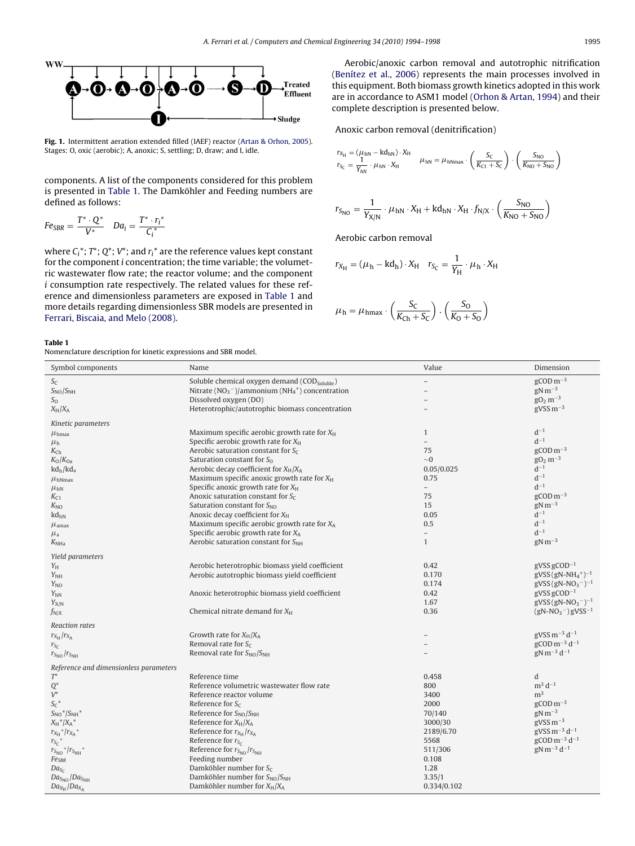<span id="page-1-0"></span>

**Fig. 1.** Intermittent aeration extended filled (IAEF) reactor ([Artan & Orhon, 2005\).](#page--1-0) Stages: O, oxic (aerobic); A, anoxic; S, settling; D, draw; and I, idle.

components. A list of the components considered for this problem is presented in Table 1. The Damköhler and Feeding numbers are defined as follows:

$$
Fe_{SBR} = \frac{T^* \cdot Q^*}{V^*} \quad Da_i = \frac{T^* \cdot r_i^*}{C_i^*}
$$

where  $C_i^*$ ;  $T^*$ ;  $Q^*$ ;  $V^*$ ; and  $r_i^*$  are the reference values kept constant for the component i concentration; the time variable; the volumetric wastewater flow rate; the reactor volume; and the component i consumption rate respectively. The related values for these reference and dimensionless parameters are exposed in Table 1 and more details regarding dimensionless SBR models are presented in [Ferrari, Biscaia, and Melo \(2008\).](#page--1-0)

**Table 1**

Nomenclature description for kinetic expressions and SBR model.

Aerobic/anoxic carbon removal and autotrophic nitrification [\(Benítez et al., 2006\)](#page--1-0) represents the main processes involved in this equipment. Both biomass growth kinetics adopted in this work are in accordance to ASM1 model [\(Orhon & Artan, 1994\)](#page--1-0) and their complete description is presented below.

Anoxic carbon removal (denitrification)

$$
r_{X_{\rm H}} = (\mu_{\rm hN} - \text{kd}_{\rm hN}) \cdot X_{\rm H}
$$
  
\n
$$
r_{S_{\rm C}} = \frac{1}{Y_{\rm hN}} \cdot \mu_{\rm hN} \cdot X_{\rm H}
$$
  
\n
$$
\mu_{\rm hN} = \mu_{\rm hNmax} \cdot \left(\frac{S_{\rm C}}{K_{\rm C1} + S_{\rm C}}\right) \cdot \left(\frac{S_{\rm NO}}{K_{\rm NO} + S_{\rm NO}}\right)
$$

$$
r_{S_{NO}} = \frac{1}{Y_{X/N}} \cdot \mu_{hN} \cdot X_H + kd_{hN} \cdot X_H \cdot f_{N/X} \cdot \left(\frac{S_{NO}}{K_{NO} + S_{NO}}\right)
$$

Aerobic carbon removal

$$
r_{X_{\mathrm{H}}} = (\mu_{\mathrm{h}} - \mathrm{kd}_{\mathrm{h}}) \cdot X_{\mathrm{H}} \quad r_{S_{\mathrm{C}}} = \frac{1}{Y_{\mathrm{H}}} \cdot \mu_{\mathrm{h}} \cdot X_{\mathrm{H}}
$$

$$
\mu_h = \mu_{hmax} \cdot \left(\frac{S_C}{K_{Ch} + S_C}\right) \cdot \left(\frac{S_O}{K_O + S_O}\right)
$$

| Symbol components                      | Name                                                             | Value                    | Dimension                               |
|----------------------------------------|------------------------------------------------------------------|--------------------------|-----------------------------------------|
| $S_{\rm C}$                            | Soluble chemical oxygen demand (COD <sub>Soluble</sub> )         |                          | $g$ COD m <sup>-3</sup>                 |
| $S_{NO}/S_{NH}$                        | Nitrate ( $NO3$ -)/ammonium ( $NH4$ <sup>+</sup> ) concentration |                          | $gN m^{-3}$                             |
| $S_{\rm O}$                            | Dissolved oxygen (DO)                                            |                          | $gO2 m-3$                               |
| $X_{\rm H}/X_{\rm A}$                  | Heterotrophic/autotrophic biomass concentration                  |                          | $gVSS \, m^{-3}$                        |
| Kinetic parameters                     |                                                                  |                          |                                         |
| $\mu_{\text{hmax}}$                    | Maximum specific aerobic growth rate for $X_H$                   | $\mathbf{1}$             | $d^{-1}$                                |
| $\mu_{h}$                              | Specific aerobic growth rate for $X_H$                           |                          | $d^{-1}$                                |
| $K_{\text{Ch}}$                        | Aerobic saturation constant for $S_c$                            | 75                       | $g$ COD m <sup>-3</sup>                 |
| $K_0/K_{Oa}$                           | Saturation constant for $S_0$                                    | $\sim\!0$                | $gO2 m-3$                               |
| $kd_h / kd_a$                          | Aerobic decay coefficient for $X_H/X_A$                          | 0.05/0.025               | $d^{-1}$                                |
| $\mu_{\text{hNmax}}$                   | Maximum specific anoxic growth rate for $X_H$                    | 0.75                     | $d^{-1}$                                |
| $\mu_{hN}$                             | Specific anoxic growth rate for $X_H$                            | $\overline{\phantom{0}}$ | $d^{-1}$                                |
| $K_{C1}$                               | Anoxic saturation constant for $S_c$                             | 75                       | $g$ COD m <sup>-3</sup>                 |
| $K_{NO}$                               | Saturation constant for $S_{NO}$                                 | 15                       | $gNm^{-3}$                              |
| kd <sub>hN</sub>                       | Anoxic decay coefficient for $X_H$                               | 0.05                     | $d^{-1}$                                |
| $\mu_{\text{amax}}$                    | Maximum specific aerobic growth rate for $X_A$                   | 0.5                      | $d^{-1}$                                |
| $\mu_{\rm a}$                          | Specific aerobic growth rate for $X_A$                           |                          | $d^{-1}$                                |
| $K_{\text{NHa}}$                       | Aerobic saturation constant for $S_{NH}$                         | $\mathbf{1}$             | $gNm^{-3}$                              |
| Yield parameters                       |                                                                  |                          |                                         |
| $Y_H$                                  | Aerobic heterotrophic biomass yield coefficient                  | 0.42                     | $gVSS gCOD^{-1}$                        |
| Y <sub>NH</sub>                        | Aerobic autotrophic biomass yield coefficient                    | 0.170                    | $gVSS(gN-NH4+)-1$                       |
| <b>Y<sub>NO</sub></b>                  |                                                                  | 0.174                    | $gVSS(gN-NO3-)-1$                       |
| $Y_{hN}$                               | Anoxic heterotrophic biomass yield coefficient                   | 0.42                     | $gVSS gCOD^{-1}$                        |
| $Y_{X/N}$                              |                                                                  | 1.67                     | $gVSS(gN-NO3-)-1$                       |
| $f_{N/X}$                              | Chemical nitrate demand for $X_H$                                | 0.36                     | $(gN-NO3-)$ gVSS <sup>-1</sup>          |
| Reaction rates                         |                                                                  |                          |                                         |
| $r_{X_H}/r_{X_A}$                      | Growth rate for $X_H/X_A$                                        |                          | $gVSS m^{-3} d^{-1}$                    |
| $r_{S_C}$                              | Removal rate for $S_c$                                           |                          | $g$ COD m <sup>-3</sup> d <sup>-1</sup> |
| $r_{S_{\rm NO}}/r_{S_{\rm NH}}$        | Removal rate for $S_{NO}/S_{NH}$                                 |                          | $gN m^{-3} d^{-1}$                      |
| Reference and dimensionless parameters |                                                                  |                          |                                         |
| $T^*$                                  | Reference time                                                   | 0.458                    | d                                       |
| $Q^*$                                  | Reference volumetric wastewater flow rate                        | 800                      | $m^3 d^{-1}$                            |
| $V^*$                                  | Reference reactor volume                                         | 3400                     | m <sup>3</sup>                          |
| $S_{C}^*$                              | Reference for $S_c$                                              | 2000                     | $g$ COD m <sup>-3</sup>                 |
| $S_{NO}^*/S_{NH}^*$                    | Reference for $S_{NO}/S_{NH}$                                    | 70/140                   | $gN m^{-3}$                             |
| $X_H^*/X_A^*$                          | Reference for $X_H/X_A$                                          | 3000/30                  | $gVSS \, m^{-3}$                        |
| $r_{X_{\rm H}}{^*}/r_{X_{\rm A}}$      | Reference for $r_{X_H}/r_{X_A}$                                  | 2189/6.70                | $gVSS m^{-3} d^{-1}$                    |
| $r_{S_C}$ *                            | Reference for $r_{S_c}$                                          | 5568                     | $g$ COD m <sup>-3</sup> d <sup>-1</sup> |
| $r_{S_{\rm NO}}{^*/}r_{S_{\rm NH}}$    | Reference for $r_{S_{\text{NO}}}/r_{S_{\text{NH}}}$              | 511/306                  | $gN m^{-3} d^{-1}$                      |
| Fe <sub>SBR</sub>                      | Feeding number                                                   | 0.108                    |                                         |
| Da <sub>S<sub>C</sub></sub>            | Damköhler number for $S_c$                                       | 1.28                     |                                         |
| Da <sub>SNO</sub> /Da <sub>SNH</sub>   | Damköhler number for $S_{NO}/S_{NH}$                             | 3.35/1                   |                                         |
| $Da_{X_H}/Da_{X_A}$                    | Damköhler number for $X_H/X_A$                                   | 0.334/0.102              |                                         |